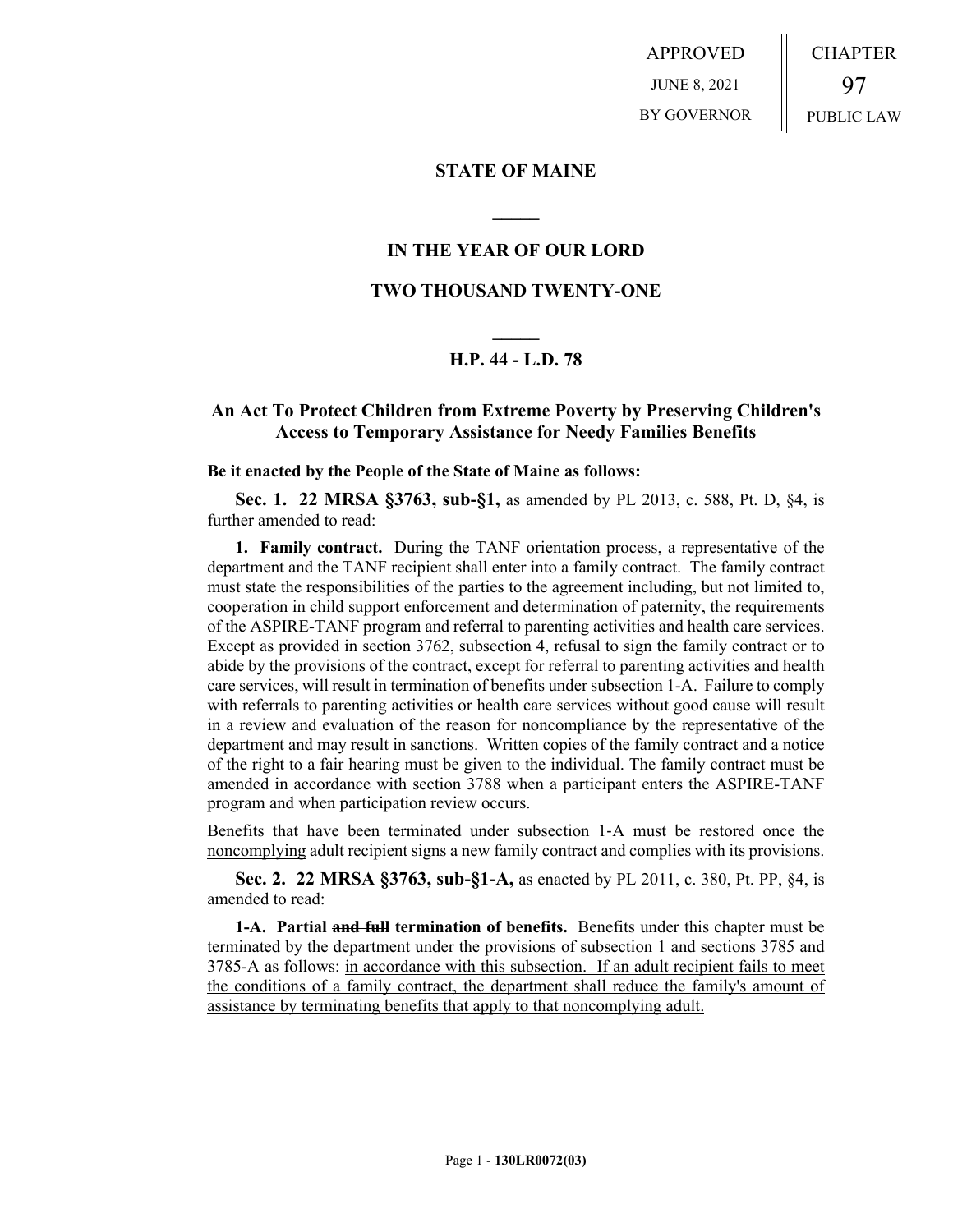APPROVED JUNE 8, 2021 BY GOVERNOR CHAPTER 97 PUBLIC LAW

### **STATE OF MAINE**

## **IN THE YEAR OF OUR LORD**

**\_\_\_\_\_**

## **TWO THOUSAND TWENTY-ONE**

# **\_\_\_\_\_ H.P. 44 - L.D. 78**

# **An Act To Protect Children from Extreme Poverty by Preserving Children's Access to Temporary Assistance for Needy Families Benefits**

#### **Be it enacted by the People of the State of Maine as follows:**

**Sec. 1. 22 MRSA §3763, sub-§1,** as amended by PL 2013, c. 588, Pt. D, §4, is further amended to read:

**1. Family contract.** During the TANF orientation process, a representative of the department and the TANF recipient shall enter into a family contract. The family contract must state the responsibilities of the parties to the agreement including, but not limited to, cooperation in child support enforcement and determination of paternity, the requirements of the ASPIRE-TANF program and referral to parenting activities and health care services. Except as provided in section 3762, subsection 4, refusal to sign the family contract or to abide by the provisions of the contract, except for referral to parenting activities and health care services, will result in termination of benefits under subsection 1-A. Failure to comply with referrals to parenting activities or health care services without good cause will result in a review and evaluation of the reason for noncompliance by the representative of the department and may result in sanctions. Written copies of the family contract and a notice of the right to a fair hearing must be given to the individual. The family contract must be amended in accordance with section 3788 when a participant enters the ASPIRE-TANF program and when participation review occurs.

Benefits that have been terminated under subsection 1‑A must be restored once the noncomplying adult recipient signs a new family contract and complies with its provisions.

**Sec. 2. 22 MRSA §3763, sub-§1-A,** as enacted by PL 2011, c. 380, Pt. PP, §4, is amended to read:

**1-A. Partial and full termination of benefits.** Benefits under this chapter must be terminated by the department under the provisions of subsection 1 and sections 3785 and 3785-A as follows: in accordance with this subsection. If an adult recipient fails to meet the conditions of a family contract, the department shall reduce the family's amount of assistance by terminating benefits that apply to that noncomplying adult.